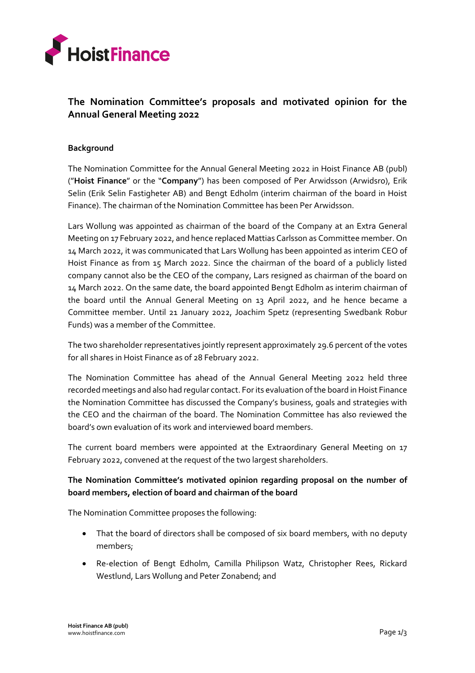

# **The Nomination Committee's proposals and motivated opinion for the Annual General Meeting 2022**

## **Background**

The Nomination Committee for the Annual General Meeting 2022 in Hoist Finance AB (publ) ("**Hoist Finance**" or the "**Company**") has been composed of Per Arwidsson (Arwidsro), Erik Selin (Erik Selin Fastigheter AB) and Bengt Edholm (interim chairman of the board in Hoist Finance). The chairman of the Nomination Committee has been Per Arwidsson.

Lars Wollung was appointed as chairman of the board of the Company at an Extra General Meeting on 17 February 2022, and hence replaced Mattias Carlsson as Committee member. On 14 March 2022, it was communicated that Lars Wollung has been appointed as interim CEO of Hoist Finance as from 15 March 2022. Since the chairman of the board of a publicly listed company cannot also be the CEO of the company, Lars resigned as chairman of the board on 14 March 2022. On the same date, the board appointed Bengt Edholm as interim chairman of the board until the Annual General Meeting on 13 April 2022, and he hence became a Committee member. Until 21 January 2022, Joachim Spetz (representing Swedbank Robur Funds) was a member of the Committee.

The two shareholder representatives jointly represent approximately 29.6 percent of the votes for all shares in Hoist Finance as of 28 February 2022.

The Nomination Committee has ahead of the Annual General Meeting 2022 held three recorded meetings and also had regular contact. For its evaluation of the board in Hoist Finance the Nomination Committee has discussed the Company's business, goals and strategies with the CEO and the chairman of the board. The Nomination Committee has also reviewed the board's own evaluation of its work and interviewed board members.

The current board members were appointed at the Extraordinary General Meeting on 17 February 2022, convened at the request of the two largest shareholders.

# **The Nomination Committee's motivated opinion regarding proposal on the number of board members, election of board and chairman of the board**

The Nomination Committee proposes the following:

- That the board of directors shall be composed of six board members, with no deputy members;
- Re-election of Bengt Edholm, Camilla Philipson Watz, Christopher Rees, Rickard Westlund, Lars Wollung and Peter Zonabend; and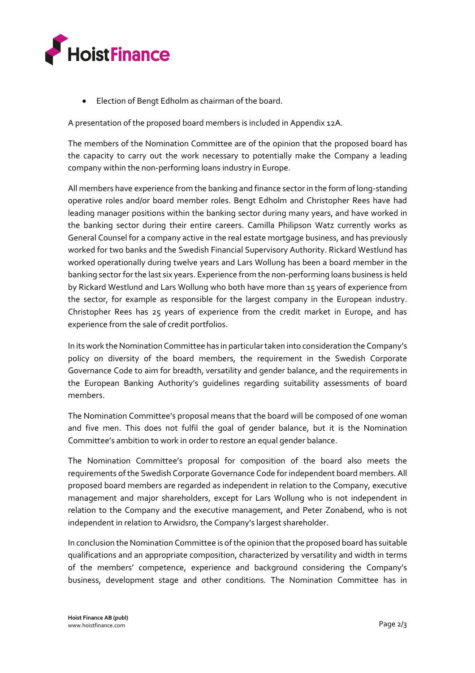

Election of Bengt Edholm as chairman of the board.

A presentation of the proposed board members is included in Appendix 12A.

The members of the Nomination Committee are of the opinion that the proposed board has the capacity to carry out the work necessary to potentially make the Company a leading company within the non-performing loans industry in Europe.

All members have experience from the banking and finance sector in the form of long-standing operative roles and/or board member roles. Bengt Edholm and Christopher Rees have had leading manager positions within the banking sector during many years, and have worked in the banking sector during their entire careers. Camilla Philipson Watz currently works as General Counsel for a company active in the real estate mortgage business, and has previously worked for two banks and the Swedish Financial Supervisory Authority. Rickard Westlund has worked operationally during twelve years and Lars Wollung has been a board member in the banking sector for the last six years. Experience from the non-performing loans business is held by Rickard Westlund and Lars Wollung who both have more than 15 years of experience from the sector, for example as responsible for the largest company in the European industry. Christopher Rees has 25 years of experience from the credit market in Europe, and has experience from the sale of credit portfolios.

In its work the Nomination Committee has in particular taken into consideration the Company's policy on diversity of the board members, the requirement in the Swedish Corporate Governance Code to aim for breadth, versatility and gender balance, and the requirements in the European Banking Authority's guidelines regarding suitability assessments of board members.

The Nomination Committee's proposal means that the board will be composed of one woman and five men. This does not fulfil the goal of gender balance, but it is the Nomination Committee's ambition to work in order to restore an equal gender balance.

The Nomination Committee's proposal for composition of the board also meets the requirements of the Swedish Corporate Governance Code for independent board members. All proposed board members are regarded as independent in relation to the Company, executive management and major shareholders, except for Lars Wollung who is not independent in relation to the Company and the executive management, and Peter Zonabend, who is not independent in relation to Arwidsro, the Company's largest shareholder.

In conclusion the Nomination Committee is of the opinion that the proposed board has suitable qualifications and an appropriate composition, characterized by versatility and width in terms of the members' competence, experience and background considering the Company's business, development stage and other conditions. The Nomination Committee has in